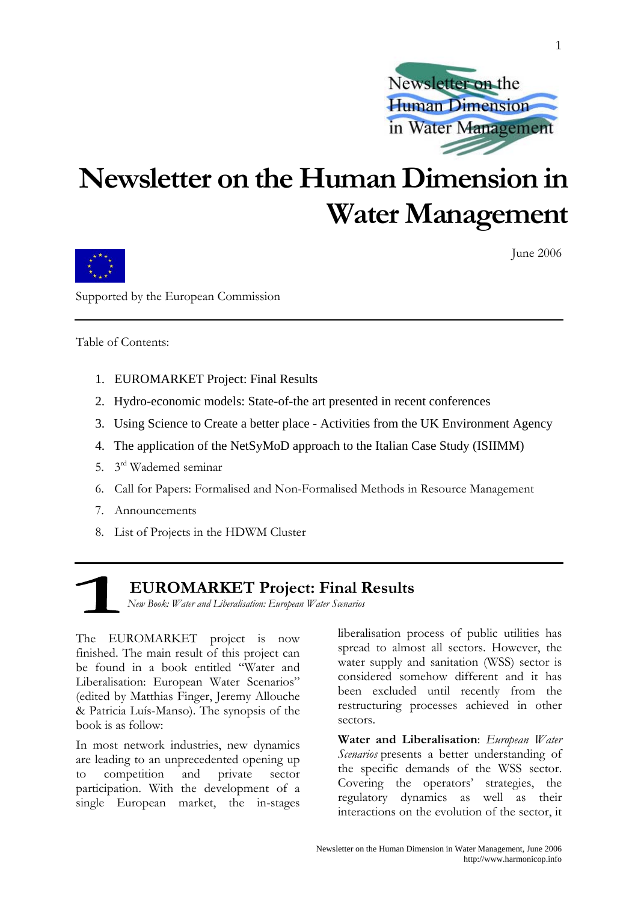

## **Newsletter on the Human Dimension in Water Management**



June 2006

1

Supported by the European Commission

Table of Contents:

- 1. EUROMARKET Project: Final Results
- 2. Hydro-economic models: State-of-the art presented in recent conferences
- 3. Using Science to Create a better place Activities from the UK Environment Agency
- 4. The application of the NetSyMoD approach to the Italian Case Study (ISIIMM)
- 5. 3rd Wademed seminar
- 6. Call for Papers: Formalised and Non-Formalised Methods in Resource Management
- 7. Announcements
- 8. List of Projects in the HDWM Cluster

 **EUROMARKET Project: Final Results** 

*New Book: Water and Liberalisation: European Water Scenarios*

The EUROMARKET project is now finished. The main result of this project can be found in a book entitled "Water and Liberalisation: European Water Scenarios" (edited by Matthias Finger, Jeremy Allouche & Patricia Luís-Manso). The synopsis of the book is as follow:

In most network industries, new dynamics are leading to an unprecedented opening up to competition and private sector participation. With the development of a single European market, the in-stages

liberalisation process of public utilities has spread to almost all sectors. However, the water supply and sanitation (WSS) sector is considered somehow different and it has been excluded until recently from the restructuring processes achieved in other sectors.

**Water and Liberalisation**: *European Water Scenarios* presents a better understanding of the specific demands of the WSS sector. Covering the operators' strategies, the regulatory dynamics as well as their interactions on the evolution of the sector, it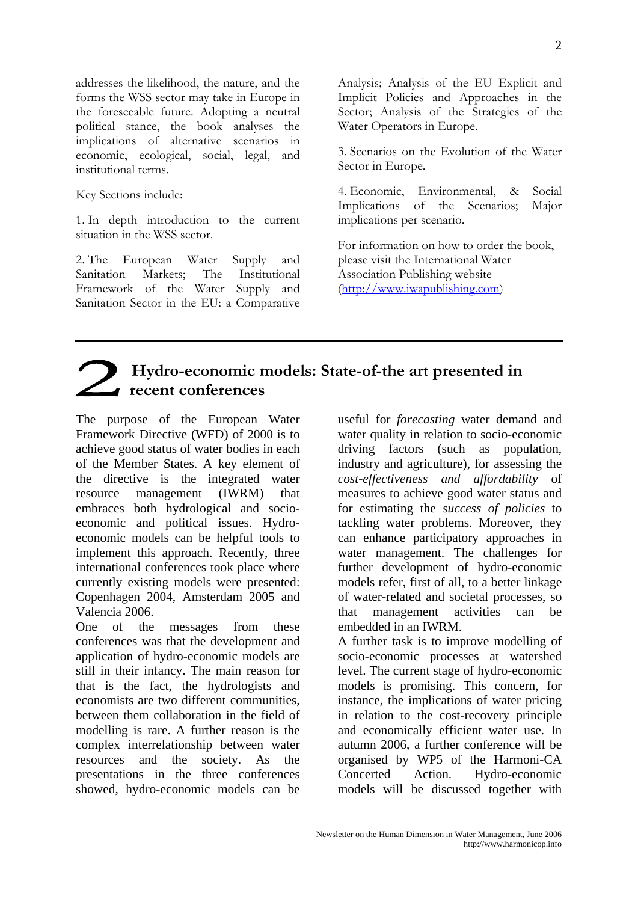addresses the likelihood, the nature, and the forms the WSS sector may take in Europe in the foreseeable future. Adopting a neutral political stance, the book analyses the implications of alternative scenarios in economic, ecological, social, legal, and institutional terms.

Key Sections include:

1. In depth introduction to the current situation in the WSS sector.

2. The European Water Supply and Sanitation Markets; The Institutional Framework of the Water Supply and Sanitation Sector in the EU: a Comparative Analysis; Analysis of the EU Explicit and Implicit Policies and Approaches in the Sector; Analysis of the Strategies of the Water Operators in Europe.

3. Scenarios on the Evolution of the Water Sector in Europe.

4. Economic, Environmental, & Social Implications of the Scenarios; Major implications per scenario.

For information on how to order the book, please visit the International Water Association Publishing website ([http://www.iwapublishing.com](http://www.iwapublishing.com/))

## **Hydro-economic models: State-of-the art presented in recent conferences**

The purpose of the European Water Framework Directive (WFD) of 2000 is to achieve good status of water bodies in each of the Member States. A key element of the directive is the integrated water resource management (IWRM) that embraces both hydrological and socioeconomic and political issues. Hydroeconomic models can be helpful tools to implement this approach. Recently, three international conferences took place where currently existing models were presented: Copenhagen 2004, Amsterdam 2005 and Valencia 2006.

One of the messages from these conferences was that the development and application of hydro-economic models are still in their infancy. The main reason for that is the fact, the hydrologists and economists are two different communities, between them collaboration in the field of modelling is rare. A further reason is the complex interrelationship between water resources and the society. As the presentations in the three conferences showed, hydro-economic models can be useful for *forecasting* water demand and water quality in relation to socio-economic driving factors (such as population, industry and agriculture), for assessing the *cost-effectiveness and affordability* of measures to achieve good water status and for estimating the *success of policies* to tackling water problems. Moreover, they can enhance participatory approaches in water management. The challenges for further development of hydro-economic models refer, first of all, to a better linkage of water-related and societal processes, so that management activities can be embedded in an IWRM.

A further task is to improve modelling of socio-economic processes at watershed level. The current stage of hydro-economic models is promising. This concern, for instance, the implications of water pricing in relation to the cost-recovery principle and economically efficient water use. In autumn 2006, a further conference will be organised by WP5 of the Harmoni-CA Concerted Action. Hydro-economic models will be discussed together with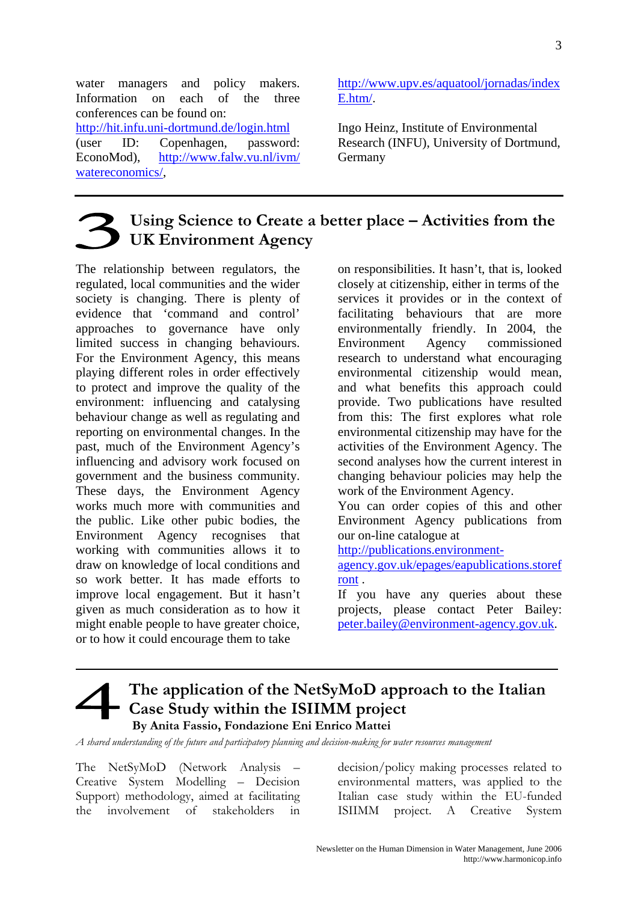water managers and policy makers. Information on each of the three conferences can be found on: <http://hit.infu.uni-dortmund.de/login.html> (user ID: Copenhagen, password: EconoMod), [http://www.falw.vu.nl/ivm/](http://www.falw.vu.nl/ivm/watereconomics/) [watereconomics/](http://www.falw.vu.nl/ivm/watereconomics/),

[http://www.upv.es/aquatool/jornadas/index](http://www.upv.es/aquatool/jornadas/indexE.htm/) [E.htm/.](http://www.upv.es/aquatool/jornadas/indexE.htm/)

Ingo Heinz, Institute of Environmental Research (INFU), University of Dortmund, Germany

## **Using Science to Create a better place – Activities from the UK Environment Agency**

The relationship between regulators, the regulated, local communities and the wider society is changing. There is plenty of evidence that 'command and control' approaches to governance have only limited success in changing behaviours. For the Environment Agency, this means playing different roles in order effectively to protect and improve the quality of the environment: influencing and catalysing behaviour change as well as regulating and reporting on environmental changes. In the past, much of the Environment Agency's influencing and advisory work focused on government and the business community. These days, the Environment Agency works much more with communities and the public. Like other pubic bodies, the Environment Agency recognises that working with communities allows it to draw on knowledge of local conditions and so work better. It has made efforts to improve local engagement. But it hasn't given as much consideration as to how it might enable people to have greater choice, or to how it could encourage them to take

on responsibilities. It hasn't, that is, looked closely at citizenship, either in terms of the services it provides or in the context of facilitating behaviours that are more environmentally friendly. In 2004, the Environment Agency commissioned research to understand what encouraging environmental citizenship would mean, and what benefits this approach could provide. Two publications have resulted from this: The first explores what role environmental citizenship may have for the activities of the Environment Agency. The second analyses how the current interest in changing behaviour policies may help the work of the Environment Agency.

You can order copies of this and other Environment Agency publications from our on-line catalogue at

[http://publications.environment-](http://publications.environment-agency.gov.uk/epages/eapublications.storefront)

[agency.gov.uk/epages/eapublications.storef](http://publications.environment-agency.gov.uk/epages/eapublications.storefront) [ront](http://publications.environment-agency.gov.uk/epages/eapublications.storefront) .

If you have any queries about these projects, please contact Peter Bailey: [peter.bailey@environment-agency.gov.uk](mailto:peter.bailey@environment-agency.gov.uk).

### **The application of the NetSyMoD approach to the Italian Case Study within the ISIIMM project By Anita Fassio, Fondazione Eni Enrico Mattei**

*A shared understanding of the future and participatory planning and decision-making for water resources management* 

The NetSyMoD (Network Analysis – Creative System Modelling – Decision Support) methodology, aimed at facilitating the involvement of stakeholders in decision/policy making processes related to environmental matters, was applied to the Italian case study within the EU-funded ISIIMM project. A Creative System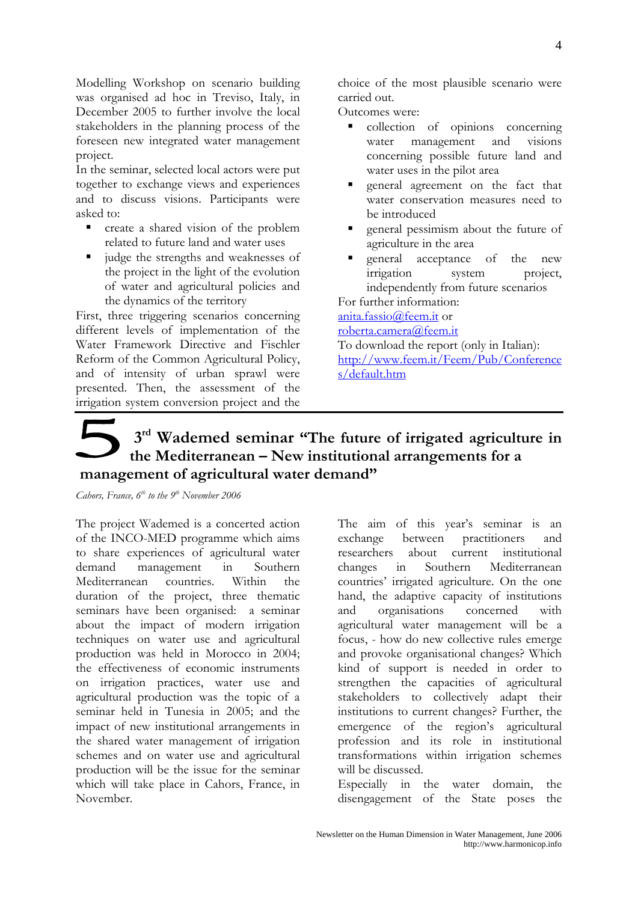Modelling Workshop on scenario building was organised ad hoc in Treviso, Italy, in December 2005 to further involve the local stakeholders in the planning process of the foreseen new integrated water management project.

In the seminar, selected local actors were put together to exchange views and experiences and to discuss visions. Participants were asked to:

- create a shared vision of the problem related to future land and water uses
- $\blacksquare$  judge the strengths and weaknesses of the project in the light of the evolution of water and agricultural policies and the dynamics of the territory

First, three triggering scenarios concerning different levels of implementation of the Water Framework Directive and Fischler Reform of the Common Agricultural Policy, and of intensity of urban sprawl were presented. Then, the assessment of the irrigation system conversion project and the

choice of the most plausible scenario were carried out.

Outcomes were:

- collection of opinions concerning water management and visions concerning possible future land and water uses in the pilot area
- general agreement on the fact that water conservation measures need to be introduced
- general pessimism about the future of agriculture in the area
- general acceptance of the new irrigation system project, independently from future scenarios

For further information: [anita.fassio@feem.it](mailto:anita.fassio@feem.it) or [roberta.camera@feem.it](mailto:roberta.camera@feem.it) To download the report (only in Italian): [http://www.feem.it/Feem/Pub/Conference](http://www.feem.it/Feem/Pub/Conferences/default.htm) [s/default.htm](http://www.feem.it/Feem/Pub/Conferences/default.htm)

## **3rd Wademed seminar "The future of irrigated agriculture in the Mediterranean – New institutional arrangements for a management of agricultural water demand"**

*Cahors, France, 6<sup>th</sup> to the 9<sup>th</sup> November 2006* 

The project Wademed is a concerted action of the INCO-MED programme which aims to share experiences of agricultural water demand management in Southern Mediterranean countries. Within the duration of the project, three thematic seminars have been organised: a seminar about the impact of modern irrigation techniques on water use and agricultural production was held in Morocco in 2004; the effectiveness of economic instruments on irrigation practices, water use and agricultural production was the topic of a seminar held in Tunesia in 2005; and the impact of new institutional arrangements in the shared water management of irrigation schemes and on water use and agricultural production will be the issue for the seminar which will take place in Cahors, France, in November.

The aim of this year's seminar is an exchange between practitioners and researchers about current institutional changes in Southern Mediterranean countries' irrigated agriculture. On the one hand, the adaptive capacity of institutions and organisations concerned with agricultural water management will be a focus, - how do new collective rules emerge and provoke organisational changes? Which kind of support is needed in order to strengthen the capacities of agricultural stakeholders to collectively adapt their institutions to current changes? Further, the emergence of the region's agricultural profession and its role in institutional transformations within irrigation schemes will be discussed.

Especially in the water domain, the disengagement of the State poses the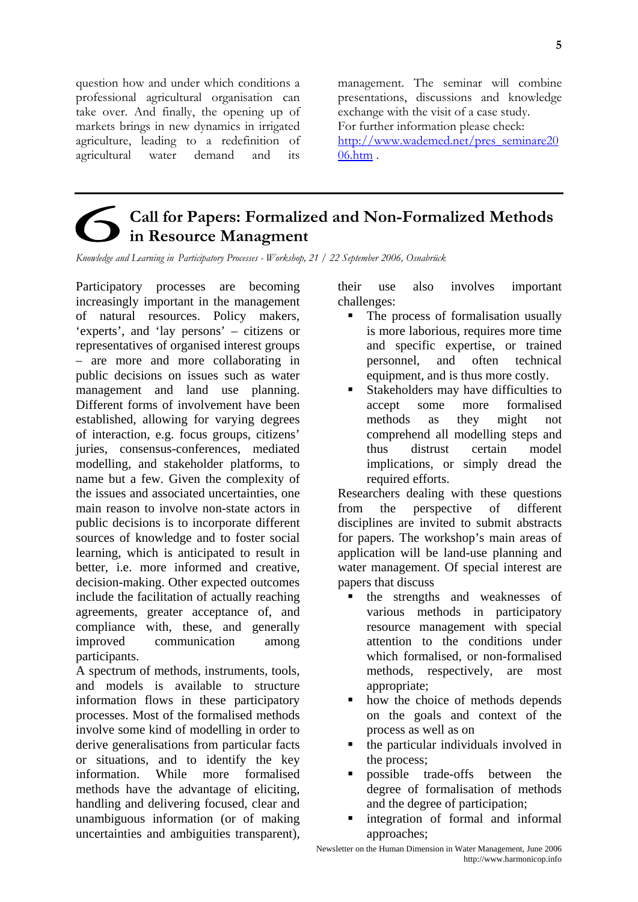question how and under which conditions a professional agricultural organisation can take over. And finally, the opening up of markets brings in new dynamics in irrigated agriculture, leading to a redefinition of agricultural water demand and its

management. The seminar will combine presentations, discussions and knowledge exchange with the visit of a case study. For further information please check: [http://www.wademed.net/pres\\_seminare20](http://www.wademed.net/pres_seminare2006.htm) [06.htm](http://www.wademed.net/pres_seminare2006.htm) .

## **Call for Papers: Formalized and Non-Formalized Methods in Resource Managment**

*Knowledge and Learning in Participatory Processes - Workshop, 21 / 22 September 2006, Osnabrück* 

Participatory processes are becoming increasingly important in the management of natural resources. Policy makers, 'experts', and 'lay persons' – citizens or representatives of organised interest groups – are more and more collaborating in public decisions on issues such as water management and land use planning. Different forms of involvement have been established, allowing for varying degrees of interaction, e.g. focus groups, citizens' juries, consensus-conferences, mediated modelling, and stakeholder platforms, to name but a few. Given the complexity of the issues and associated uncertainties, one main reason to involve non-state actors in public decisions is to incorporate different sources of knowledge and to foster social learning, which is anticipated to result in better, i.e. more informed and creative, decision-making. Other expected outcomes include the facilitation of actually reaching agreements, greater acceptance of, and compliance with, these, and generally improved communication among participants.

A spectrum of methods, instruments, tools, and models is available to structure information flows in these participatory processes. Most of the formalised methods involve some kind of modelling in order to derive generalisations from particular facts or situations, and to identify the key information. While more formalised methods have the advantage of eliciting, handling and delivering focused, clear and unambiguous information (or of making uncertainties and ambiguities transparent), their use also involves important challenges:

- The process of formalisation usually is more laborious, requires more time and specific expertise, or trained personnel, and often technical equipment, and is thus more costly.
- Stakeholders may have difficulties to accept some more formalised methods as they might not comprehend all modelling steps and thus distrust certain model implications, or simply dread the required efforts.

Researchers dealing with these questions from the perspective of different disciplines are invited to submit abstracts for papers. The workshop's main areas of application will be land-use planning and water management. Of special interest are papers that discuss

- the strengths and weaknesses of various methods in participatory resource management with special attention to the conditions under which formalised, or non-formalised methods, respectively, are most appropriate;
- how the choice of methods depends on the goals and context of the process as well as on
- the particular individuals involved in the process;
- possible trade-offs between the degree of formalisation of methods and the degree of participation;
- integration of formal and informal approaches;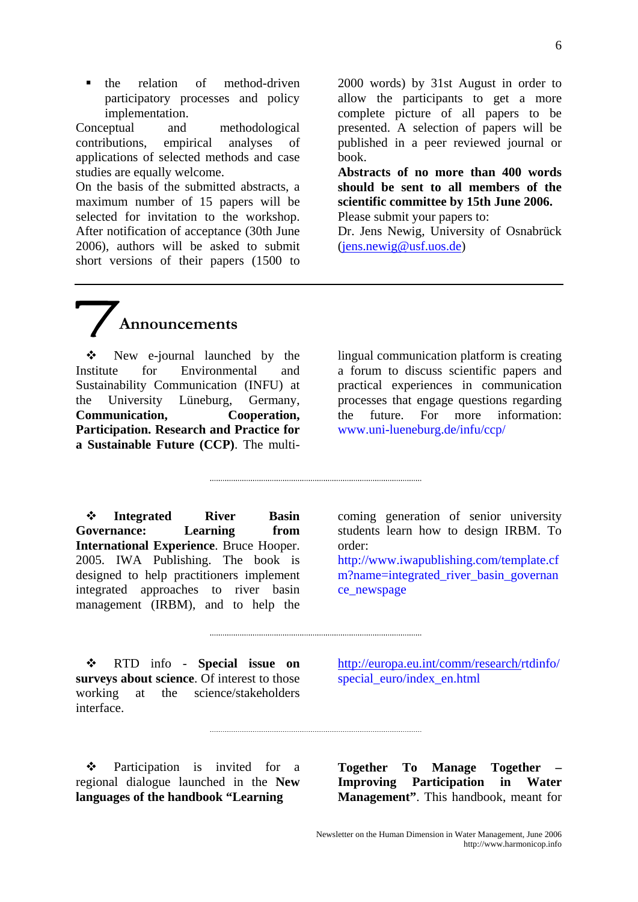6

• the relation of method-driven participatory processes and policy implementation.

Conceptual and methodological contributions, empirical analyses of applications of selected methods and case studies are equally welcome.

On the basis of the submitted abstracts, a maximum number of 15 papers will be selected for invitation to the workshop. After notification of acceptance (30th June 2006), authors will be asked to submit short versions of their papers (1500 to 2000 words) by 31st August in order to allow the participants to get a more complete picture of all papers to be presented. A selection of papers will be published in a peer reviewed journal or book.

**Abstracts of no more than 400 words should be sent to all members of the scientific committee by 15th June 2006.**  Please submit your papers to:

Dr. Jens Newig, University of Osnabrück [\(jens.newig@usf.uos.de\)](mailto:jens.newig@usf.uos.de)

# **Announcements**

 New e-journal launched by the Institute for Environmental and Sustainability Communication (INFU) at the University Lüneburg, Germany, **Communication, Cooperation, Participation. Research and Practice for a Sustainable Future (CCP)**. The multi-

lingual communication platform is creating a forum to discuss scientific papers and practical experiences in communication processes that engage questions regarding the future. For more information: www.uni-lueneburg.de/infu/ccp/

 **Integrated River Basin**  Governance: Learning from **International Experience**. Bruce Hooper. 2005. IWA Publishing. The book is designed to help practitioners implement integrated approaches to river basin management (IRBM), and to help the

coming generation of senior university students learn how to design IRBM. To order:

http://www.iwapublishing.com/template.cf m?name=integrated\_river\_basin\_governan ce\_newspage

 RTD info - **Special issue on surveys about science**. Of interest to those working at the science/stakeholders interface.

[http://europa.eu.int/comm/research/r](http://europa.eu.int/comm/%20research/)tdinfo/ special\_euro/index\_en.html

 Participation is invited for a regional dialogue launched in the **New languages of the handbook "Learning** 

**Together To Manage Together Improving Participation in Water Management"**. This handbook, meant for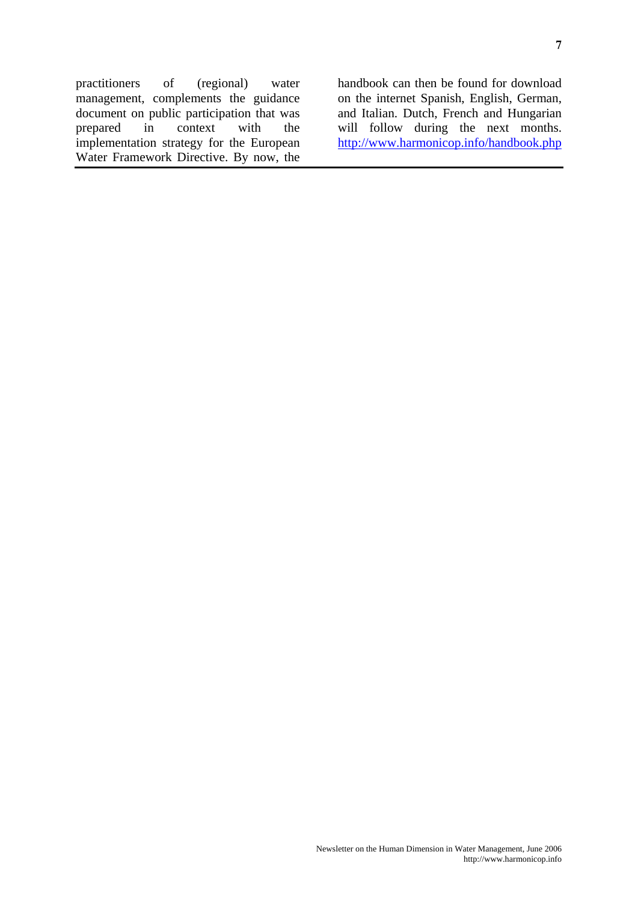practitioners of (regional) water management, complements the guidance document on public participation that was prepared in context with the implementation strategy for the European Water Framework Directive. By now, the

handbook can then be found for download on the internet Spanish, English, German, and Italian. Dutch, French and Hungarian will follow during the next months. <http://www.harmonicop.info/handbook.php>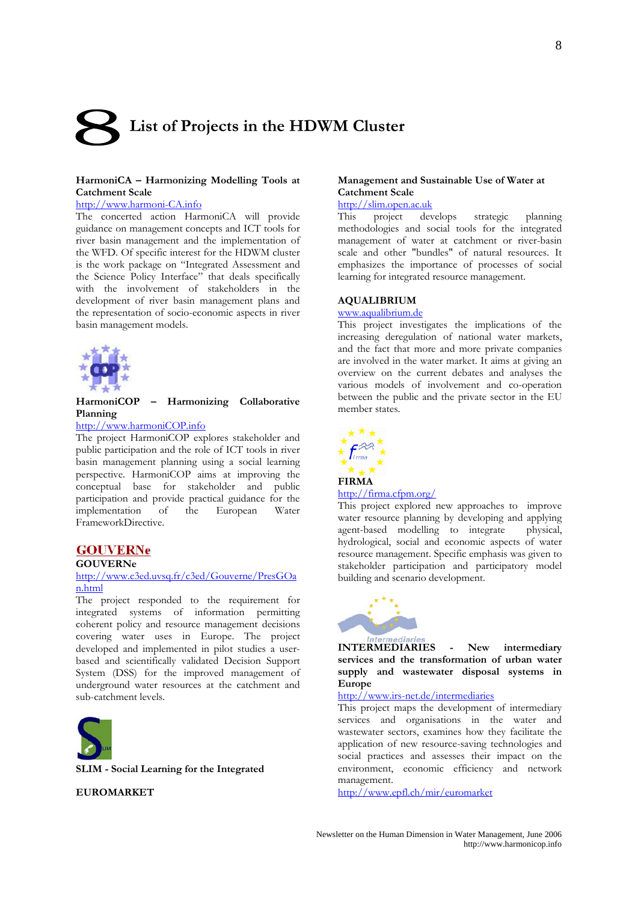# **List of Projects in the HDWM Cluster**

#### **HarmoniCA – Harmonizing Modelling Tools at Catchment Scale**

#### [http://www.harmoni-CA.info](http://www.harmoni-ca.info/)

The concerted action HarmoniCA will provide guidance on management concepts and ICT tools for river basin management and the implementation of the WFD. Of specific interest for the HDWM cluster is the work package on "Integrated Assessment and the Science Policy Interface" that deals specifically with the involvement of stakeholders in the development of river basin management plans and the representation of socio-economic aspects in river basin management models.



#### **HarmoniCOP – Harmonizing Collaborative Planning**

#### [http://www.harmoniCOP.info](http://www.harmonicop.info/)

The project HarmoniCOP explores stakeholder and public participation and the role of ICT tools in river basin management planning using a social learning perspective. HarmoniCOP aims at improving the conceptual base for stakeholder and public participation and provide practical guidance for the implementation of the European Water FrameworkDirective.

#### **GOUVERNe**

#### **GOUVERNe**

#### [http://www.c3ed.uvsq.fr/c3ed/Gouverne/PresGOa](http://www.c3ed.uvsq.fr/c3ed/Gouverne/PresGOan.html) [n.html](http://www.c3ed.uvsq.fr/c3ed/Gouverne/PresGOan.html)

The project responded to the requirement for integrated systems of information permitting coherent policy and resource management decisions covering water uses in Europe. The project developed and implemented in pilot studies a userbased and scientifically validated Decision Support System (DSS) for the improved management of underground water resources at the catchment and sub-catchment levels.



**SLIM - Social Learning for the Integrated** 

#### **Management and Sustainable Use of Water at Catchment Scale**

## [http://slim.open.ac.uk](http://slim.open.ac.uk/)<br>This project dev

project develops strategic planning methodologies and social tools for the integrated management of water at catchment or river-basin scale and other "bundles" of natural resources. It emphasizes the importance of processes of social learning for integrated resource management.

#### **AQUALIBRIUM**

#### [www.aqualibrium.de](http://www.aqualibrium.de/)

This project investigates the implications of the increasing deregulation of national water markets, and the fact that more and more private companies are involved in the water market. It aims at giving an overview on the current debates and analyses the various models of involvement and co-operation between the public and the private sector in the EU member states.



#### <http://firma.cfpm.org/>

This project explored new approaches to improve water resource planning by developing and applying agent-based modelling to integrate physical, hydrological, social and economic aspects of water resource management. Specific emphasis was given to stakeholder participation and participatory model building and scenario development.



**INTERMEDIARIES - New intermediary services and the transformation of urban water supply and wastewater disposal systems in Europe** 

#### http://[www.irs-net.de/intermediaries](http://www.irs-net.de/intermediaries)

This project maps the development of intermediary services and organisations in the water and wastewater sectors, examines how they facilitate the application of new resource-saving technologies and social practices and assesses their impact on the environment, economic efficiency and network management.

**EUROMARKET** http://www.epfl.ch/mir/euromarket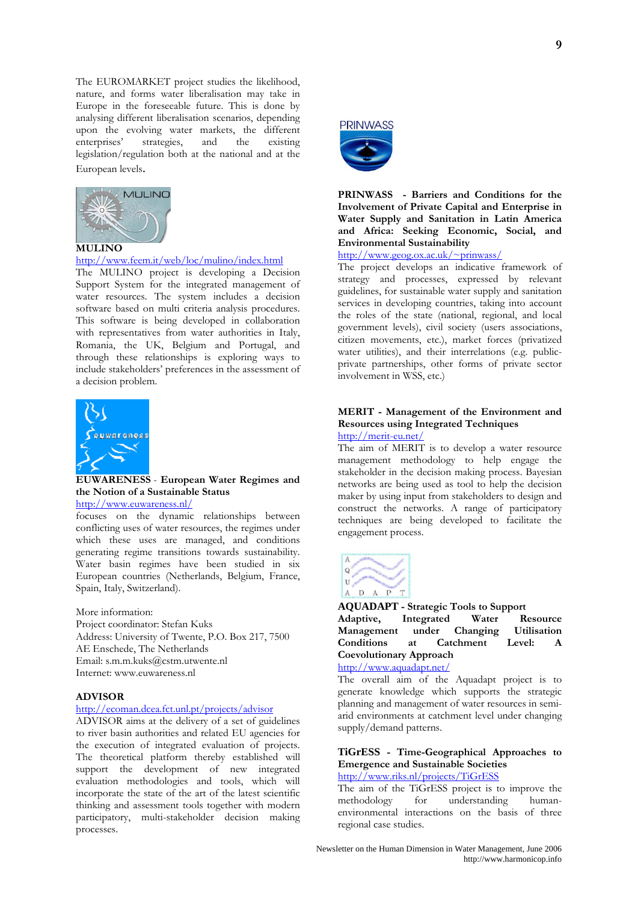The EUROMARKET project studies the likelihood, nature, and forms water liberalisation may take in Europe in the foreseeable future. This is done by analysing different liberalisation scenarios, depending upon the evolving water markets, the different enterprises' strategies, and the existing strategies, and the legislation/regulation both at the national and at the European levels.



#### <http://www.feem.it/web/loc/mulino/index.html>

The MULINO project is developing a Decision Support System for the integrated management of water resources. The system includes a decision software based on multi criteria analysis procedures. This software is being developed in collaboration with representatives from water authorities in Italy, Romania, the UK, Belgium and Portugal, and through these relationships is exploring ways to include stakeholders' preferences in the assessment of a decision problem.



#### **EUWARENESS** - **European Water Regimes and the Notion of a Sustainable Status**

<http://www.euwareness.nl/>

focuses on the dynamic relationships between conflicting uses of water resources, the regimes under which these uses are managed, and conditions generating regime transitions towards sustainability. Water basin regimes have been studied in six European countries (Netherlands, Belgium, France, Spain, Italy, Switzerland).

More information:

Project coordinator: Stefan Kuks Address: University of Twente, P.O. Box 217, 7500 AE Enschede, The Netherlands Email: s.m.m.kuks@cstm.utwente.nl Internet: www.euwareness.nl

#### **ADVISOR**

#### <http://ecoman.dcea.fct.unl.pt/projects/advisor>

ADVISOR aims at the delivery of a set of guidelines to river basin authorities and related EU agencies for the execution of integrated evaluation of projects. The theoretical platform thereby established will support the development of new integrated evaluation methodologies and tools, which will incorporate the state of the art of the latest scientific thinking and assessment tools together with modern participatory, multi-stakeholder decision making processes.



#### **PRINWASS - Barriers and Conditions for the Involvement of Private Capital and Enterprise in Water Supply and Sanitation in Latin America and Africa: Seeking Economic, Social, and Environmental Sustainability**

#### [http://www.geog.ox.ac.uk/~prinwass/](http://www.geog.ox.ac.uk/%7Eprinwass/)

The project develops an indicative framework of strategy and processes, expressed by relevant guidelines, for sustainable water supply and sanitation services in developing countries, taking into account the roles of the state (national, regional, and local government levels), civil society (users associations, citizen movements, etc.), market forces (privatized water utilities), and their interrelations (e.g. publicprivate partnerships, other forms of private sector involvement in WSS, etc.)

#### **MERIT - Management of the Environment and Resources using Integrated Techniques**  <http://merit-eu.net/>

The aim of MERIT is to develop a water resource management methodology to help engage the stakeholder in the decision making process. Bayesian networks are being used as tool to help the decision maker by using input from stakeholders to design and construct the networks. A range of participatory techniques are being developed to facilitate the engagement process.



#### **AQUADAPT - Strategic Tools to Support Adaptive, Integrated Water Resource Management under Changing Utilisation Conditions at Catchment Level: A Coevolutionary Approach**

<http://www.aquadapt.net/>

The overall aim of the Aquadapt project is to generate knowledge which supports the strategic planning and management of water resources in semiarid environments at catchment level under changing supply/demand patterns.

#### **TiGrESS - Time-Geographical Approaches to Emergence and Sustainable Societies**

<http://www.riks.nl/projects/TiGrESS>

The aim of the TiGrESS project is to improve the methodology for understanding humanenvironmental interactions on the basis of three regional case studies.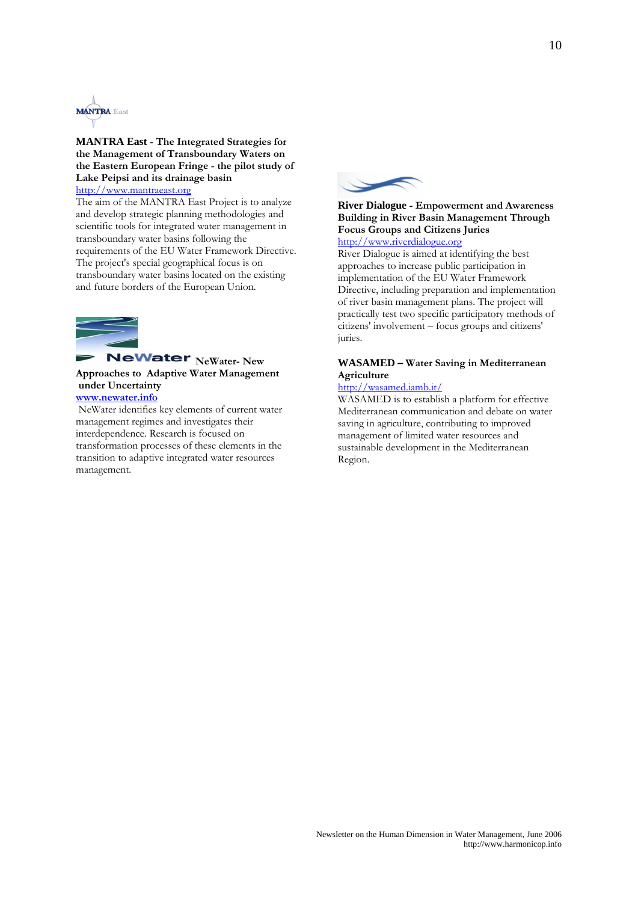

#### **MANTRA East - The Integrated Strategies for the Management of Transboundary Waters on the Eastern European Fringe - the pilot study of Lake Peipsi and its drainage basin**  [http://www.mantraeast.org](http://www.mantraeast.org/)

The aim of the MANTRA East Project is to analyze and develop strategic planning methodologies and scientific tools for integrated water management in transboundary water basins following the requirements of the EU Water Framework Directive. The project's special geographical focus is on transboundary water basins located on the existing and future borders of the European Union.



#### **NeWater** NeWater- New **Approaches to Adaptive Water Management under Uncertainty [www.newater.info](http://www.newater.info/)**

 NeWater identifies key elements of current water management regimes and investigates their interdependence. Research is focused on transformation processes of these elements in the transition to adaptive integrated water resources management.



#### **River Dialogue - Empowerment and Awareness Building in River Basin Management Through Focus Groups and Citizens Juries**  [http://www.riverdialogue.org](http://www.riverdialogue.org/)

River Dialogue is aimed at identifying the best approaches to increase public participation in implementation of the EU Water Framework Directive, including preparation and implementation of river basin management plans. The project will practically test two specific participatory methods of citizens' involvement – focus groups and citizens' juries.

#### **WASAMED – Water Saving in Mediterranean Agriculture**

#### <http://wasamed.iamb.it/>

WASAMED is to establish a platform for effective Mediterranean communication and debate on water saving in agriculture, contributing to improved management of limited water resources and sustainable development in the Mediterranean Region.